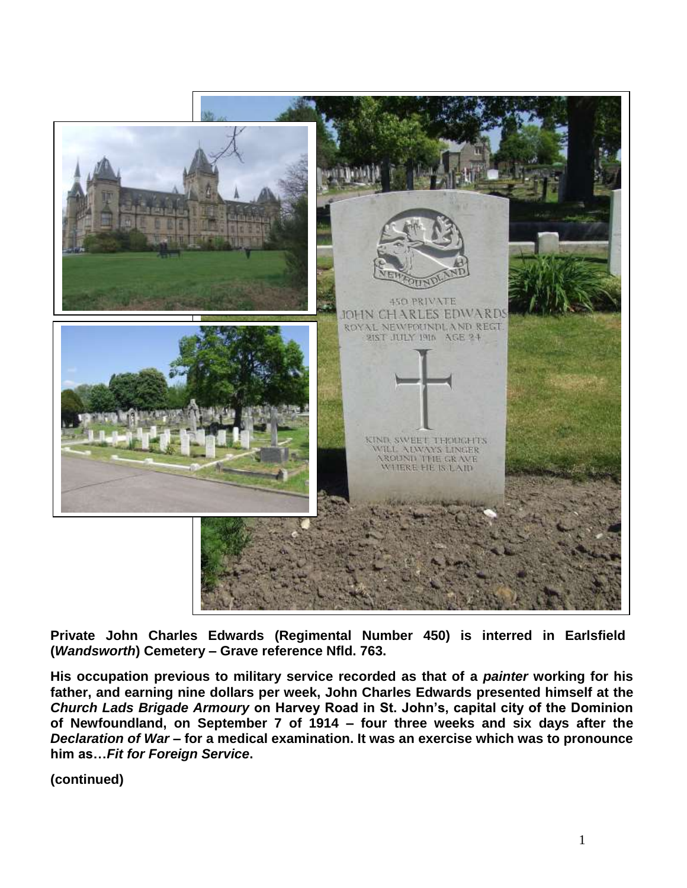

**Private John Charles Edwards (Regimental Number 450) is interred in Earlsfield (***Wandsworth***) Cemetery – Grave reference Nfld. 763.** 

**His occupation previous to military service recorded as that of a** *painter* **working for his father, and earning nine dollars per week, John Charles Edwards presented himself at the**  *Church Lads Brigade Armoury* **on Harvey Road in St. John's, capital city of the Dominion of Newfoundland, on September 7 of 1914 – four three weeks and six days after the**  *Declaration of War* **– for a medical examination. It was an exercise which was to pronounce him as…***Fit for Foreign Service***.**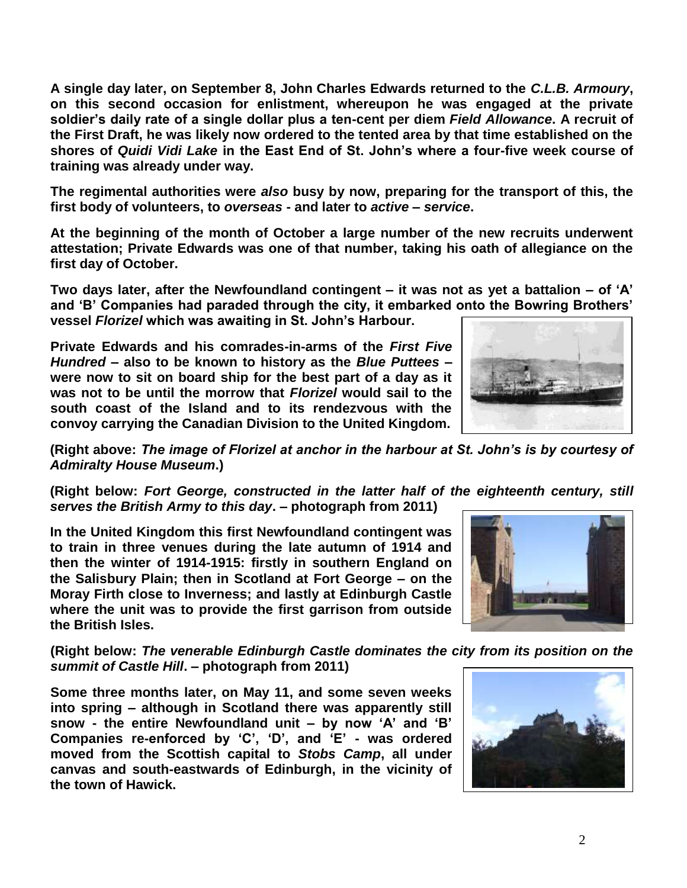**A single day later, on September 8, John Charles Edwards returned to the** *C.L.B. Armoury***, on this second occasion for enlistment, whereupon he was engaged at the private soldier's daily rate of a single dollar plus a ten-cent per diem** *Field Allowance***. A recruit of the First Draft, he was likely now ordered to the tented area by that time established on the shores of** *Quidi Vidi Lake* **in the East End of St. John's where a four-five week course of training was already under way.**

**The regimental authorities were** *also* **busy by now, preparing for the transport of this, the first body of volunteers, to** *overseas* **- and later to** *active* **–** *service***.**

**At the beginning of the month of October a large number of the new recruits underwent attestation; Private Edwards was one of that number, taking his oath of allegiance on the first day of October.**

**Two days later, after the Newfoundland contingent – it was not as yet a battalion – of 'A' and 'B' Companies had paraded through the city, it embarked onto the Bowring Brothers' vessel** *Florizel* **which was awaiting in St. John's Harbour.** 

**Private Edwards and his comrades-in-arms of the** *First Five Hundred* **– also to be known to history as the** *Blue Puttees* **– were now to sit on board ship for the best part of a day as it was not to be until the morrow that** *Florizel* **would sail to the south coast of the Island and to its rendezvous with the convoy carrying the Canadian Division to the United Kingdom.**



**(Right above:** *The image of Florizel at anchor in the harbour at St. John's is by courtesy of Admiralty House Museum***.)**

**(Right below:** *Fort George, constructed in the latter half of the eighteenth century, still serves the British Army to this day***. – photograph from 2011)**

**In the United Kingdom this first Newfoundland contingent was to train in three venues during the late autumn of 1914 and then the winter of 1914-1915: firstly in southern England on the Salisbury Plain; then in Scotland at Fort George – on the Moray Firth close to Inverness; and lastly at Edinburgh Castle where the unit was to provide the first garrison from outside the British Isles.** 



**(Right below:** *The venerable Edinburgh Castle dominates the city from its position on the summit of Castle Hill***. – photograph from 2011)**

**Some three months later, on May 11, and some seven weeks into spring – although in Scotland there was apparently still snow - the entire Newfoundland unit – by now 'A' and 'B' Companies re-enforced by 'C', 'D', and 'E' - was ordered moved from the Scottish capital to** *Stobs Camp***, all under canvas and south-eastwards of Edinburgh, in the vicinity of the town of Hawick.** 

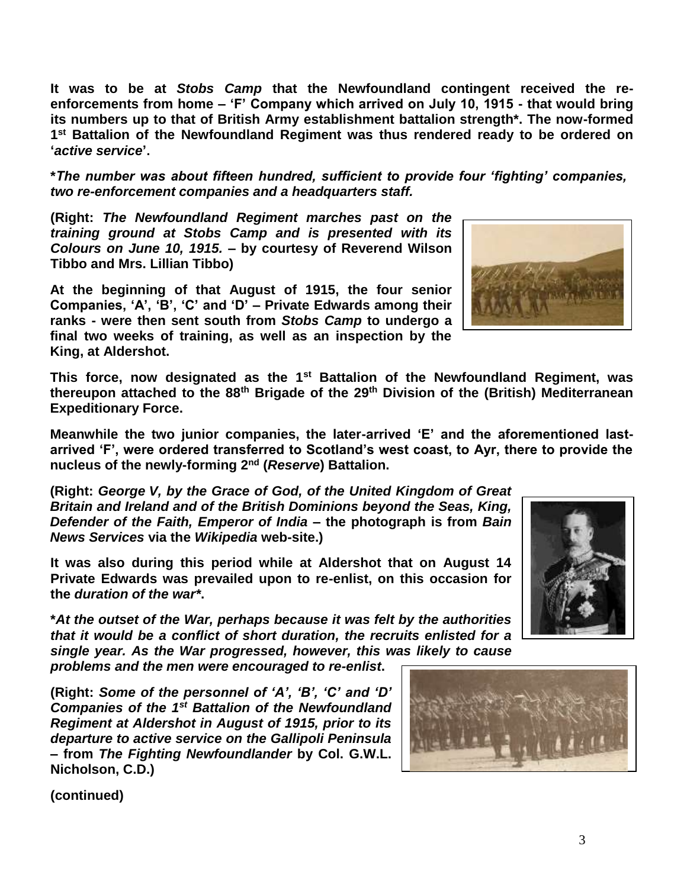**It was to be at** *Stobs Camp* **that the Newfoundland contingent received the reenforcements from home – 'F' Company which arrived on July 10, 1915 - that would bring its numbers up to that of British Army establishment battalion strength\*. The now-formed 1 st Battalion of the Newfoundland Regiment was thus rendered ready to be ordered on '***active service***'.**

**\****The number was about fifteen hundred, sufficient to provide four 'fighting' companies, two re-enforcement companies and a headquarters staff.*

**(Right:** *The Newfoundland Regiment marches past on the training ground at Stobs Camp and is presented with its Colours on June 10, 1915.* **– by courtesy of Reverend Wilson Tibbo and Mrs. Lillian Tibbo)**

**At the beginning of that August of 1915, the four senior Companies, 'A', 'B', 'C' and 'D' – Private Edwards among their ranks - were then sent south from** *Stobs Camp* **to undergo a final two weeks of training, as well as an inspection by the King, at Aldershot.** 

**This force, now designated as the 1st Battalion of the Newfoundland Regiment, was thereupon attached to the 88th Brigade of the 29th Division of the (British) Mediterranean Expeditionary Force.**

**Meanwhile the two junior companies, the later-arrived 'E' and the aforementioned lastarrived 'F', were ordered transferred to Scotland's west coast, to Ayr, there to provide the nucleus of the newly-forming 2nd (***Reserve***) Battalion.**

**(Right:** *George V, by the Grace of God, of the United Kingdom of Great Britain and Ireland and of the British Dominions beyond the Seas, King, Defender of the Faith, Emperor of India* **– the photograph is from** *Bain News Services* **via the** *Wikipedia* **web-site.)**

**It was also during this period while at Aldershot that on August 14 Private Edwards was prevailed upon to re-enlist, on this occasion for the** *duration of the war\****.**

**\****At the outset of the War, perhaps because it was felt by the authorities that it would be a conflict of short duration, the recruits enlisted for a single year. As the War progressed, however, this was likely to cause* 

*problems and the men were encouraged to re-enlist***.**

**(Right:** *Some of the personnel of 'A', 'B', 'C' and 'D' Companies of the 1st Battalion of the Newfoundland Regiment at Aldershot in August of 1915, prior to its departure to active service on the Gallipoli Peninsula*  **– from** *The Fighting Newfoundlander* **by Col. G.W.L. Nicholson, C.D.)**





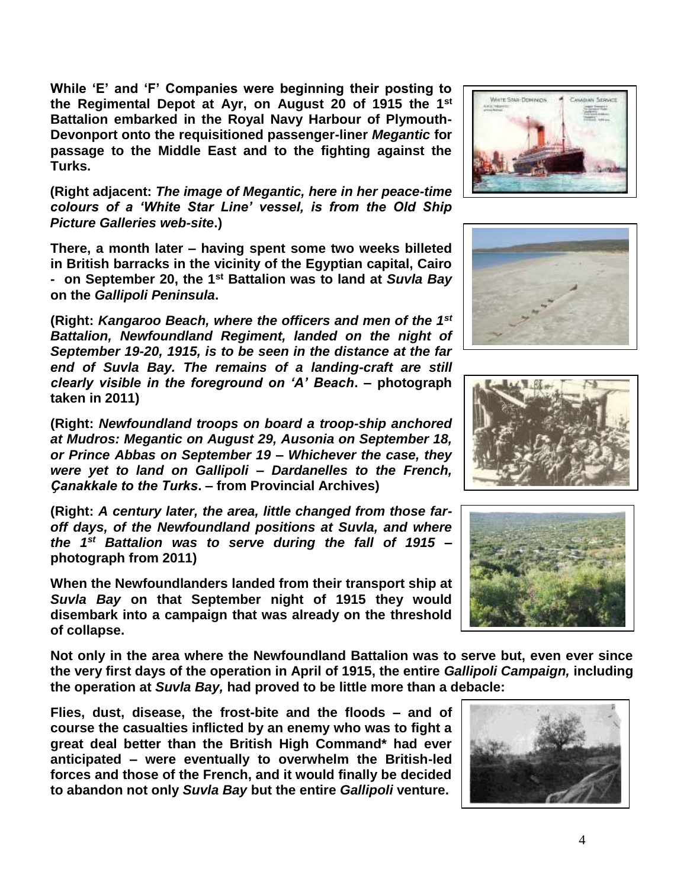**While 'E' and 'F' Companies were beginning their posting to the Regimental Depot at Ayr, on August 20 of 1915 the 1st Battalion embarked in the Royal Navy Harbour of Plymouth-Devonport onto the requisitioned passenger-liner** *Megantic* **for passage to the Middle East and to the fighting against the Turks.** 

**(Right adjacent:** *The image of Megantic, here in her peace-time colours of a 'White Star Line' vessel, is from the Old Ship Picture Galleries web-site***.)**

**There, a month later – having spent some two weeks billeted in British barracks in the vicinity of the Egyptian capital, Cairo - on September 20, the 1st Battalion was to land at** *Suvla Bay* **on the** *Gallipoli Peninsula***.**

**(Right:** *Kangaroo Beach, where the officers and men of the 1st Battalion, Newfoundland Regiment, landed on the night of September 19-20, 1915, is to be seen in the distance at the far end of Suvla Bay. The remains of a landing-craft are still clearly visible in the foreground on 'A' Beach***. – photograph taken in 2011)**

**(Right:** *Newfoundland troops on board a troop-ship anchored at Mudros: Megantic on August 29, Ausonia on September 18, or Prince Abbas on September 19 – Whichever the case, they were yet to land on Gallipoli – Dardanelles to the French, Ҫanakkale to the Turks***. – from Provincial Archives)**

**(Right:** *A century later, the area, little changed from those faroff days, of the Newfoundland positions at Suvla, and where the 1st Battalion was to serve during the fall of 1915* **– photograph from 2011)**

**When the Newfoundlanders landed from their transport ship at**  *Suvla Bay* **on that September night of 1915 they would disembark into a campaign that was already on the threshold of collapse.**

**Not only in the area where the Newfoundland Battalion was to serve but, even ever since the very first days of the operation in April of 1915, the entire** *Gallipoli Campaign,* **including the operation at** *Suvla Bay,* **had proved to be little more than a debacle:** 

**Flies, dust, disease, the frost-bite and the floods – and of course the casualties inflicted by an enemy who was to fight a great deal better than the British High Command\* had ever anticipated – were eventually to overwhelm the British-led forces and those of the French, and it would finally be decided to abandon not only** *Suvla Bay* **but the entire** *Gallipoli* **venture.**









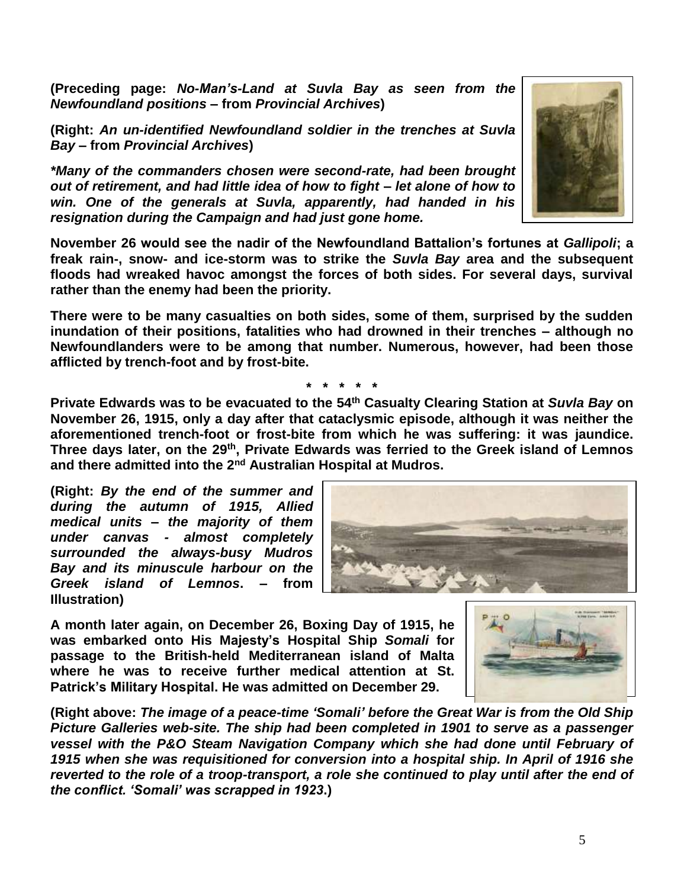**(Preceding page:** *No-Man's-Land at Suvla Bay as seen from the Newfoundland positions* **– from** *Provincial Archives***)**

**(Right:** *An un-identified Newfoundland soldier in the trenches at Suvla Bay –* **from** *Provincial Archives***)**

*\*Many of the commanders chosen were second-rate, had been brought out of retirement, and had little idea of how to fight – let alone of how to win. One of the generals at Suvla, apparently, had handed in his resignation during the Campaign and had just gone home.* 

**November 26 would see the nadir of the Newfoundland Battalion's fortunes at** *Gallipoli***; a freak rain-, snow- and ice-storm was to strike the** *Suvla Bay* **area and the subsequent floods had wreaked havoc amongst the forces of both sides. For several days, survival rather than the enemy had been the priority.**

**There were to be many casualties on both sides, some of them, surprised by the sudden inundation of their positions, fatalities who had drowned in their trenches – although no Newfoundlanders were to be among that number. Numerous, however, had been those afflicted by trench-foot and by frost-bite.**

**Private Edwards was to be evacuated to the 54th Casualty Clearing Station at** *Suvla Bay* **on November 26, 1915, only a day after that cataclysmic episode, although it was neither the aforementioned trench-foot or frost-bite from which he was suffering: it was jaundice. Three days later, on the 29th, Private Edwards was ferried to the Greek island of Lemnos and there admitted into the 2nd Australian Hospital at Mudros.**

**(Right:** *By the end of the summer and during the autumn of 1915, Allied medical units – the majority of them under canvas - almost completely surrounded the always-busy Mudros Bay and its minuscule harbour on the Greek island of Lemnos***. – from Illustration)**

**A month later again, on December 26, Boxing Day of 1915, he was embarked onto His Majesty's Hospital Ship** *Somali* **for passage to the British-held Mediterranean island of Malta where he was to receive further medical attention at St. Patrick's Military Hospital. He was admitted on December 29.** 

**(Right above:** *The image of a peace-time 'Somali' before the Great War is from the Old Ship Picture Galleries web-site. The ship had been completed in 1901 to serve as a passenger vessel with the P&O Steam Navigation Company which she had done until February of 1915 when she was requisitioned for conversion into a hospital ship. In April of 1916 she reverted to the role of a troop-transport, a role she continued to play until after the end of the conflict. 'Somali' was scrapped in 1923***.)**



ം



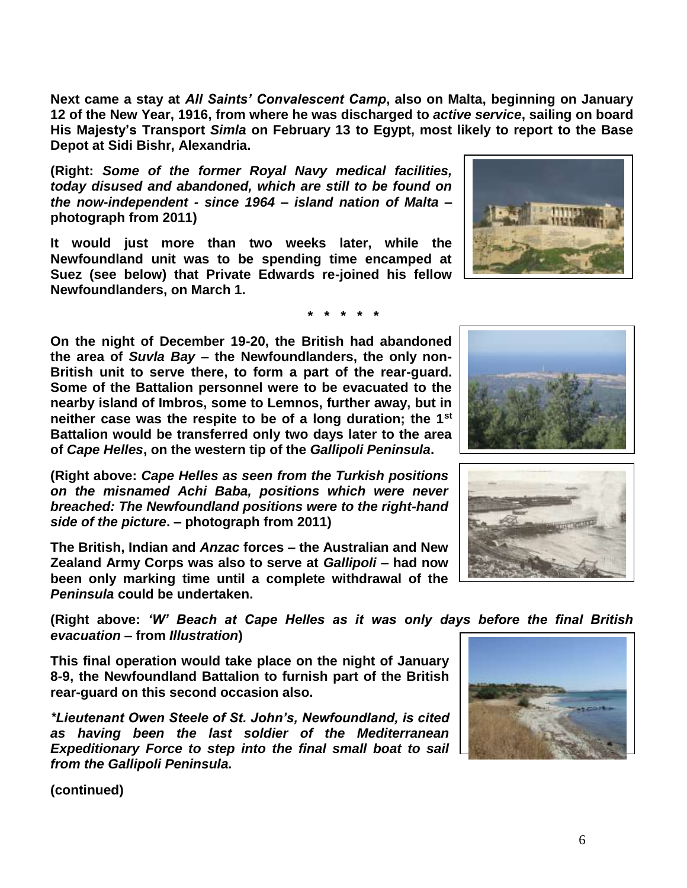**(continued)**

*from the Gallipoli Peninsula.*

**Newfoundlanders, on March 1.**

*evacuation* **– from** *Illustration***) This final operation would take place on the night of January** 

**Zealand Army Corps was also to serve at** *Gallipoli* **– had now been only marking time until a complete withdrawal of the**  *Peninsula* **could be undertaken.** 

**(Right above:** *'W' Beach at Cape Helles as it was only days before the final British* 

**8-9, the Newfoundland Battalion to furnish part of the British** 

*\*Lieutenant Owen Steele of St. John's, Newfoundland, is cited as having been the last soldier of the Mediterranean Expeditionary Force to step into the final small boat to sail* 

**The British, Indian and** *Anzac* **forces – the Australian and New** 

*on the misnamed Achi Baba, positions which were never breached: The Newfoundland positions were to the right-hand* 

*side of the picture***. – photograph from 2011)**

**rear-guard on this second occasion also.**

**British unit to serve there, to form a part of the rear-guard. Some of the Battalion personnel were to be evacuated to the nearby island of Imbros, some to Lemnos, further away, but in neither case was the respite to be of a long duration; the 1st Battalion would be transferred only two days later to the area of** *Cape Helles***, on the western tip of the** *Gallipoli Peninsula***. (Right above:** *Cape Helles as seen from the Turkish positions* 

**On the night of December 19-20, the British had abandoned the area of** *Suvla Bay* **– the Newfoundlanders, the only non-**

**(Right:** *Some of the former Royal Navy medical facilities, today disused and abandoned, which are still to be found on the now-independent - since 1964 – island nation of Malta* **– photograph from 2011)**

**It would just more than two weeks later, while the Newfoundland unit was to be spending time encamped at Suez (see below) that Private Edwards re-joined his fellow** 

**Next came a stay at** *All Saints' Convalescent Camp***, also on Malta, beginning on January 12 of the New Year, 1916, from where he was discharged to** *active service***, sailing on board His Majesty's Transport** *Simla* **on February 13 to Egypt, most likely to report to the Base Depot at Sidi Bishr, Alexandria.**

**\* \* \* \* \***







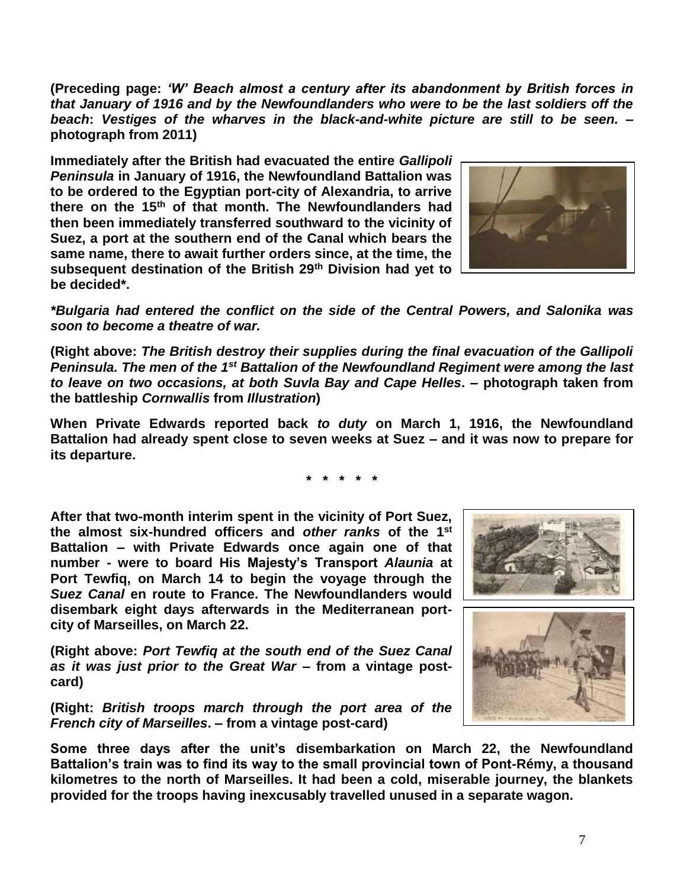**(Preceding page:** *'W' Beach almost a century after its abandonment by British forces in that January of 1916 and by the Newfoundlanders who were to be the last soldiers off the beach***:** *Vestiges of the wharves in the black-and-white picture are still to be seen.* **– photograph from 2011)**

**Immediately after the British had evacuated the entire** *Gallipoli Peninsula* **in January of 1916, the Newfoundland Battalion was to be ordered to the Egyptian port-city of Alexandria, to arrive there on the 15th of that month. The Newfoundlanders had then been immediately transferred southward to the vicinity of Suez, a port at the southern end of the Canal which bears the same name, there to await further orders since, at the time, the subsequent destination of the British 29th Division had yet to be decided\*.**



*\*Bulgaria had entered the conflict on the side of the Central Powers, and Salonika was soon to become a theatre of war.*

**(Right above:** *The British destroy their supplies during the final evacuation of the Gallipoli Peninsula. The men of the 1st Battalion of the Newfoundland Regiment were among the last to leave on two occasions, at both Suvla Bay and Cape Helles***. – photograph taken from the battleship** *Cornwallis* **from** *Illustration***)**

**When Private Edwards reported back** *to duty* **on March 1, 1916, the Newfoundland Battalion had already spent close to seven weeks at Suez – and it was now to prepare for its departure.**

**\* \* \* \* \***

**After that two-month interim spent in the vicinity of Port Suez, the almost six-hundred officers and** *other ranks* **of the 1st Battalion – with Private Edwards once again one of that number - were to board His Majesty's Transport** *Alaunia* **at Port Tewfiq, on March 14 to begin the voyage through the**  *Suez Canal* **en route to France. The Newfoundlanders would disembark eight days afterwards in the Mediterranean portcity of Marseilles, on March 22.**

**(Right above:** *Port Tewfiq at the south end of the Suez Canal as it was just prior to the Great War* **– from a vintage postcard)**

**(Right:** *British troops march through the port area of the French city of Marseilles***. – from a vintage post-card)**





**Some three days after the unit's disembarkation on March 22, the Newfoundland Battalion's train was to find its way to the small provincial town of Pont-Rémy, a thousand kilometres to the north of Marseilles. It had been a cold, miserable journey, the blankets provided for the troops having inexcusably travelled unused in a separate wagon.**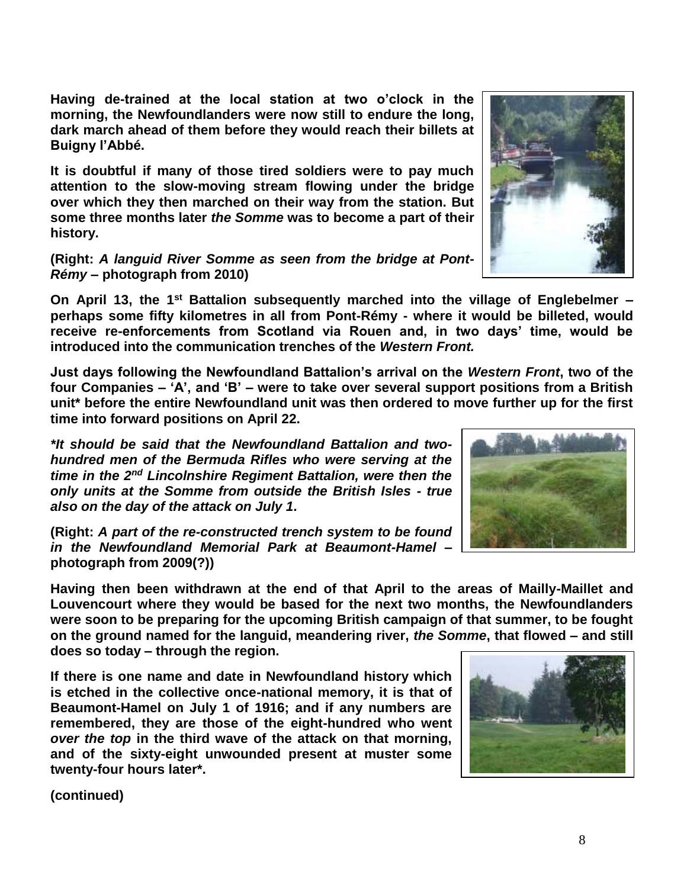**Having de-trained at the local station at two o'clock in the morning, the Newfoundlanders were now still to endure the long, dark march ahead of them before they would reach their billets at Buigny l'Abbé.**

**It is doubtful if many of those tired soldiers were to pay much attention to the slow-moving stream flowing under the bridge over which they then marched on their way from the station. But some three months later** *the Somme* **was to become a part of their history.**

**(Right:** *A languid River Somme as seen from the bridge at Pont-Rémy* **– photograph from 2010)**

**On April 13, the 1st Battalion subsequently marched into the village of Englebelmer – perhaps some fifty kilometres in all from Pont-Rémy - where it would be billeted, would receive re-enforcements from Scotland via Rouen and, in two days' time, would be introduced into the communication trenches of the** *Western Front.*

**Just days following the Newfoundland Battalion's arrival on the** *Western Front***, two of the four Companies – 'A', and 'B' – were to take over several support positions from a British unit\* before the entire Newfoundland unit was then ordered to move further up for the first time into forward positions on April 22.**

*\*It should be said that the Newfoundland Battalion and twohundred men of the Bermuda Rifles who were serving at the time in the 2nd Lincolnshire Regiment Battalion, were then the only units at the Somme from outside the British Isles - true also on the day of the attack on July 1.*

**(Right:** *A part of the re-constructed trench system to be found in the Newfoundland Memorial Park at Beaumont-Hamel* **– photograph from 2009(?))**

**Having then been withdrawn at the end of that April to the areas of Mailly-Maillet and Louvencourt where they would be based for the next two months, the Newfoundlanders were soon to be preparing for the upcoming British campaign of that summer, to be fought on the ground named for the languid, meandering river,** *the Somme***, that flowed – and still does so today – through the region.** 

**If there is one name and date in Newfoundland history which is etched in the collective once-national memory, it is that of Beaumont-Hamel on July 1 of 1916; and if any numbers are remembered, they are those of the eight-hundred who went**  *over the top* **in the third wave of the attack on that morning, and of the sixty-eight unwounded present at muster some twenty-four hours later\*.**





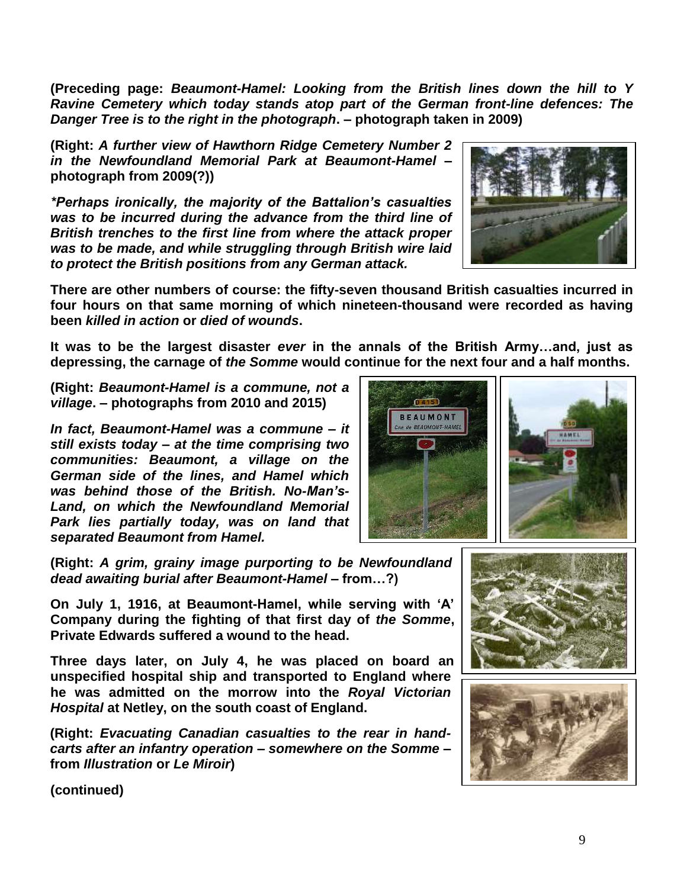**(Preceding page:** *Beaumont-Hamel: Looking from the British lines down the hill to Y Ravine Cemetery which today stands atop part of the German front-line defences: The Danger Tree is to the right in the photograph***. – photograph taken in 2009)**

**(Right:** *A further view of Hawthorn Ridge Cemetery Number 2 in the Newfoundland Memorial Park at Beaumont-Hamel* **– photograph from 2009(?))**

*\*Perhaps ironically, the majority of the Battalion's casualties was to be incurred during the advance from the third line of British trenches to the first line from where the attack proper was to be made, and while struggling through British wire laid to protect the British positions from any German attack.*



**There are other numbers of course: the fifty-seven thousand British casualties incurred in four hours on that same morning of which nineteen-thousand were recorded as having been** *killed in action* **or** *died of wounds***.** 

**It was to be the largest disaster** *ever* **in the annals of the British Army…and, just as depressing, the carnage of** *the Somme* **would continue for the next four and a half months.**

**(Right:** *Beaumont-Hamel is a commune, not a village***. – photographs from 2010 and 2015)**

*In fact, Beaumont-Hamel was a commune – it still exists today – at the time comprising two communities: Beaumont, a village on the German side of the lines, and Hamel which was behind those of the British. No-Man's-Land, on which the Newfoundland Memorial Park lies partially today, was on land that separated Beaumont from Hamel.* 



**(Right:** *A grim, grainy image purporting to be Newfoundland dead awaiting burial after Beaumont-Hamel –* **from…?)**

**On July 1, 1916, at Beaumont-Hamel, while serving with 'A' Company during the fighting of that first day of** *the Somme***, Private Edwards suffered a wound to the head.** 

**Three days later, on July 4, he was placed on board an unspecified hospital ship and transported to England where he was admitted on the morrow into the** *Royal Victorian Hospital* **at Netley, on the south coast of England.**

**(Right:** *Evacuating Canadian casualties to the rear in handcarts after an infantry operation – somewhere on the Somme* **– from** *Illustration* **or** *Le Miroir***)**



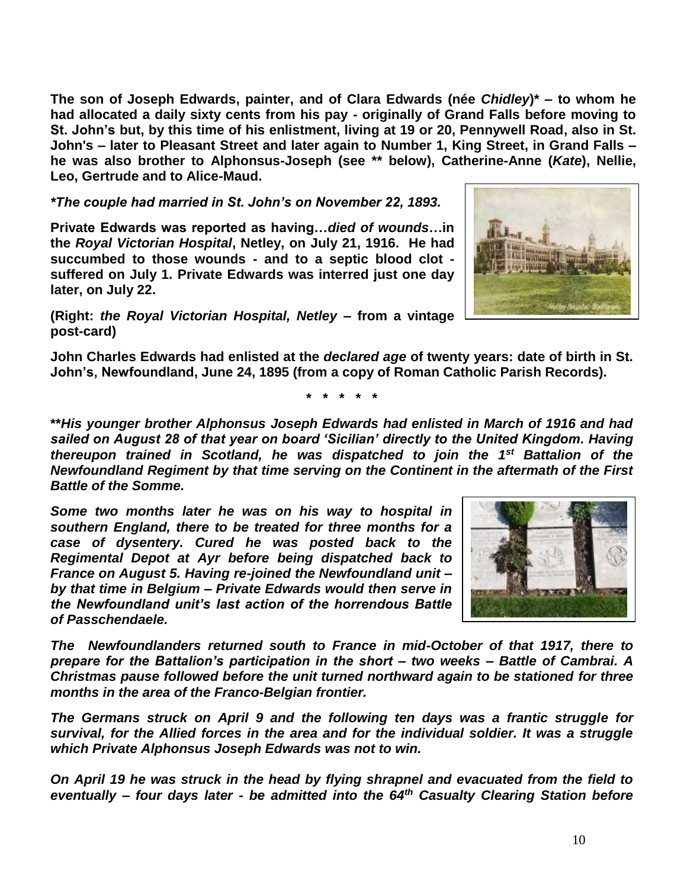**The son of Joseph Edwards, painter, and of Clara Edwards (née** *Chidley***)\* – to whom he had allocated a daily sixty cents from his pay - originally of Grand Falls before moving to St. John's but, by this time of his enlistment, living at 19 or 20, Pennywell Road, also in St. John's – later to Pleasant Street and later again to Number 1, King Street, in Grand Falls – he was also brother to Alphonsus-Joseph (see \*\* below), Catherine-Anne (***Kate***), Nellie, Leo, Gertrude and to Alice-Maud.**

*\*The couple had married in St. John's on November 22, 1893.*

**Private Edwards was reported as having…***died of wounds***…in the** *Royal Victorian Hospital***, Netley, on July 21, 1916. He had succumbed to those wounds - and to a septic blood clot suffered on July 1. Private Edwards was interred just one day later, on July 22.**

**(Right:** *the Royal Victorian Hospital, Netley* **– from a vintage post-card)**

**John Charles Edwards had enlisted at the** *declared age* **of twenty years: date of birth in St. John's, Newfoundland, June 24, 1895 (from a copy of Roman Catholic Parish Records).**

**\* \* \* \* \***

**\*\****His younger brother Alphonsus Joseph Edwards had enlisted in March of 1916 and had sailed on August 28 of that year on board 'Sicilian' directly to the United Kingdom. Having thereupon trained in Scotland, he was dispatched to join the 1st Battalion of the Newfoundland Regiment by that time serving on the Continent in the aftermath of the First Battle of the Somme.*

*Some two months later he was on his way to hospital in southern England, there to be treated for three months for a case of dysentery. Cured he was posted back to the Regimental Depot at Ayr before being dispatched back to France on August 5. Having re-joined the Newfoundland unit – by that time in Belgium – Private Edwards would then serve in the Newfoundland unit's last action of the horrendous Battle of Passchendaele.*

*The Newfoundlanders returned south to France in mid-October of that 1917, there to prepare for the Battalion's participation in the short – two weeks – Battle of Cambrai. A Christmas pause followed before the unit turned northward again to be stationed for three months in the area of the Franco-Belgian frontier.*

*The Germans struck on April 9 and the following ten days was a frantic struggle for survival, for the Allied forces in the area and for the individual soldier. It was a struggle which Private Alphonsus Joseph Edwards was not to win.*

*On April 19 he was struck in the head by flying shrapnel and evacuated from the field to eventually – four days later - be admitted into the 64th Casualty Clearing Station before*